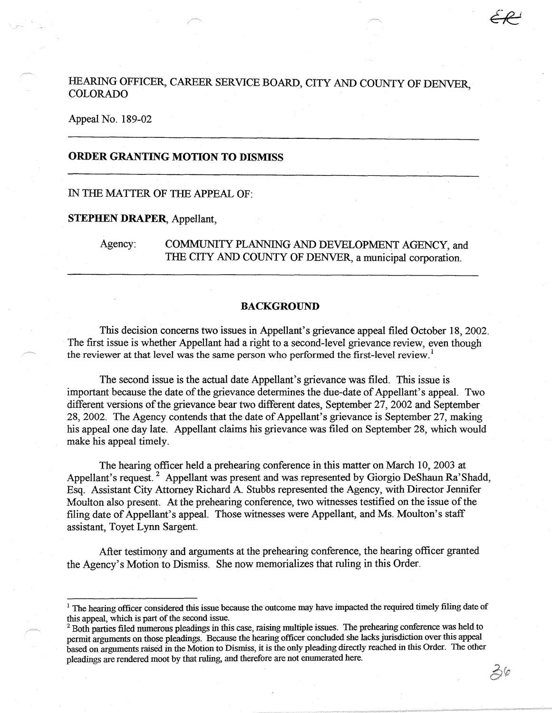# HEARING OFFICER, CAREER SERVICE BOARD, CITY AND COUNTY OF DENVER, COLORADO

### Appeal No. 189-02

## **ORDER GRANTING MOTION TO DISMISS**

### IN THE MATTER OF THE APPEAL OF:

#### **STEPHEN DRAPER,** Appellant,

Agency: COMMUNITY PLANNING AND DEVELOPMENT AGENCY, and THE CITY AND COUNTY OF DENVER, a municipal corporation.

#### **BACKGROUND**

This decision concerns two issues in Appellant's grievance appeal filed October 18, 2002. The first issue is whether Appellant had a right to a second-level grievance review, even though the reviewer at that level was the same person who performed the first-level review.<sup>1</sup>

The second issue is the actual date Appellant's grievance was filed. This issue is important because the date of the grievance determines the due-date of Appellant's appeal. Two different versions of the grievance bear two different dates, September 27, 2002 and September 28, 2002. The Agency contends that the date of Appellant's grievance is September 27, making his appeal one day late. Appellant claims his grievance was filed on September 28, which would make his appeal timely.

The hearing officer held a prehearing conference in this matter on March 10, 2003 at Appellant's request.<sup>2</sup> Appellant was present and was represented by Giorgio DeShaun Ra' Shadd, Esq. Assistant City Attorney Richard A Stubbs represented the Agency, with Director Jennifer Moulton also present. At the prehearing conference, two witnesses testified on the issue of the filing date of Appellant's appeal. Those witnesses were Appellant, and Ms. Moulton's staff assistant, Toyet Lynn Sargent.

After testimony and arguments at the prehearing conference, the hearing officer granted the Agency's Motion to Dismiss. She now memorializes that ruling in this Order.

 $\hat{\beta}^{\langle\rho\rangle}$ 

<sup>&</sup>lt;sup>1</sup> The hearing officer considered this issue because the outcome may have impacted the required timely filing date of this appeal, which is part of the second issue.

<sup>&</sup>lt;sup>2</sup> Both parties filed numerous pleadings in this case, raising multiple issues. The prehearing conference was held to permit arguments on those pleadings. Because the hearing officer concluded she lacks jurisdiction over this appeal based on arguments raised in the Motion to Dismiss, it is the only pleading directly reached in this Order. The other pleadings are rendered moot by that ruling, and therefore are not enumerated here.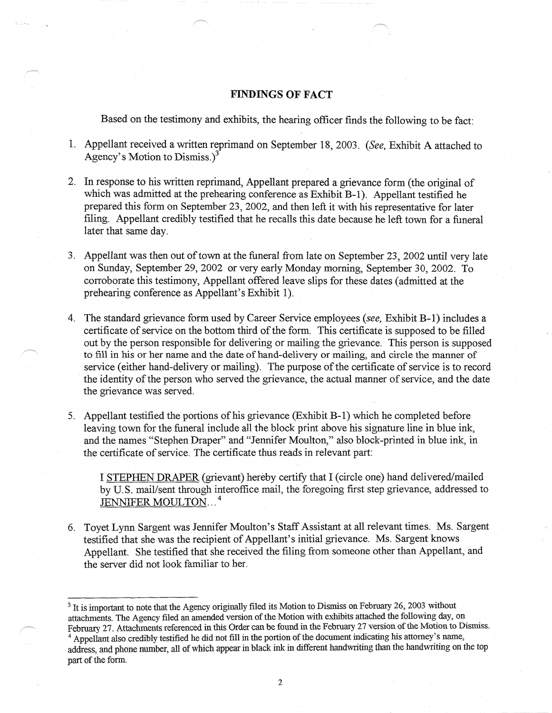## **FINDINGS OF FACT**

Based on the testimony and exhibits, the hearing officer finds the following to be fact:

- 1. Appellant received a written reprimand on September 18, 2003. *(See,* Exhibit A attached to Agency's Motion to Dismiss.)3
- 2. In response to his written reprimand, Appellant prepared a grievance form (the original of which was admitted at the prehearing conference as Exhibit B-1). Appellant testified he prepared this form on September 23, 2002, and then left it with his representative for later filing. Appellant credibly testified that he recalls this date because he left town for a funeral later that same day.
- 3. Appellant was then out of town at the funeral from late on September 23, 2002 until very late on Sunday, September 29, 2002 or very early Monday morning, September 30, 2002. To corroborate this testimony, Appellant offered leave slips for these dates ( admitted at the prehearing conference as Appellant's Exhibit 1).
- 4. The standard grievance form used by Career Service employees *(see,* Exhibit B-1) includes a certificate of service on the bottom third of the form. This certificate is supposed to be filled out by the person responsible for delivering or mailing the grievance. This person is supposed to fill in his or her name and the date of hand-delivery or mailing, and circle the manner of service (either hand-delivery or mailing). The purpose of the certificate of service is to record the identity of the person who served the grievance, the actual manner of service, and the date the grievance was served.
- 5. Appellant testified the portions of his grievance{Exhibit B-1) which he completed before leaving town for the funeral include all the block print above his signature line in blue ink, and the names "Stephen Draper" and "Jennifer Moulton," also block-printed in blue ink, in the certificate of service. The certificate thus reads in relevant part:

I STEPHEN DRAPER (grievant) hereby certify that I (circle one) hand delivered/mailed by U.S. mail/sent through interoffice mail, the foregoing first step grievance, addressed to JENNIFER MOULTON...<sup>4</sup>

6. Toyet Lynn Sargent was Jennifer Moulton's Staff Assistant at all relevant times. Ms. Sargent testified that she was the recipient of Appellant's initial grievance. Ms. Sargent knows Appellant. She testified that she received the filing from someone other than Appellant, and the server did not look familiar to her.

<sup>&</sup>lt;sup>3</sup> It is important to note that the Agency originally filed its Motion to Dismiss on February 26, 2003 without attachments. The Agency filed an amended version of the Motion with exhibits attached the following day, on February 27. Attachments referenced in this Order can be found in the February 27 version of the Motion to Dismiss. <sup>4</sup> Appellant also credibly testified he did not fill in the portion of the document indicating his attorney's name, address, and phone number, all of which appear in black ink in different handwriting than the handwriting on the top part of the form.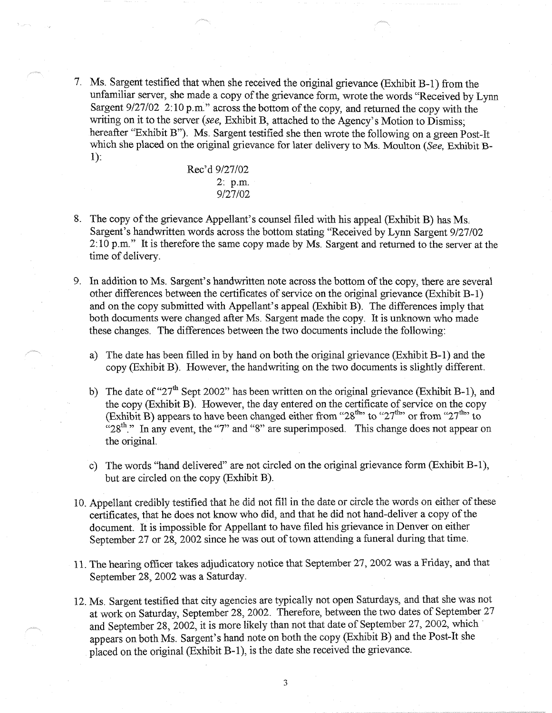7. Ms. Sargent testified that when she received the original grievance (Exhibit B-1) from the unfamiliar server, she made a copy of the grievance form, wrote the words "Received by Lynn Sargent 9/27/02 2:10 p.m." across the bottom of the copy, and returned the copy with the writing on it to the server *(see,* Exhibit B, attached to the Agency's Motion to Dismiss; hereafter "Exhibit B"). Ms. Sargent testified she then wrote the following on a green Post-It which she placed on the original grievance for later delivery to Ms. Moulton *(See,* Exhibit Bl):

> Rec'd 9/27/02 2: p.m. 9/27/02

- 8. The copy of the grievance Appellant's counsel filed with his appeal (Exhibit B) has Ms. Sargent's handwritten words across the bottom stating "Received by Lynn Sargent 9/27/02 2: 10 p.m." It is therefore the same copy made by Ms. Sargent and returned to the server at the time of delivery.
- 9. In addition to Ms. Sargent's handwritten note across the bottom of the copy, there are several other differences between the certificates of service on the original grievance (Exhibit B-1) and on the copy submitted with Appellant's appeal (Exhibit B). The differences imply that both documents were changed after Ms. Sargent made the copy. It is unknown who made these changes. The differences between the two documents include the following:
	- a) The date has been filled in by hand on both the original grievance (Exhibit B-1) and the copy (Exhibit B). However, the handwriting on the two documents is slightly different.
	- b) The date of "27<sup>th</sup> Sept 2002" has been written on the original grievance (Exhibit B-1), and the copy (Exhibit B). However, the day entered on the certificate of service on the copy (Exhibit B) appears to have been changed either from "28<sup>th</sup>" to "27<sup>th</sup>" or from "27<sup>th</sup>" to  $^{12}28^{th}$ ." In any event, the "7" and "8" are superimposed. This change does not appear on the original.
	- c) The words "hand delivered" are not circled on the original grievance form (Exhibit B-1 ), but are circled on the copy (Exhibit B).
- 10. Appellant credibly testified that he did not fill in the date or circle the words on either of these certificates, that he does not know who did, and that he did not hand-deliver a copy of the document. It is impossible for Appellant to have filed his grievance in Denver on either September 27 or 28, 2002 since he was out of town attending a funeral during that time.
- 11. The hearing officer takes adjudicatory notice that September 27, 2002 was a Friday, and that September 28, 2002 was a Saturday.
- 12. Ms. Sargent testified that city agencies are typically not open Saturdays, and that she was not at work on Saturday, September 28, 2002. Therefore, between the two dates of September 27 and September 28, 2002, it is more likely than not that date of September 27, 2002, which appears on both Ms. Sargent's hand note on both the copy (Exhibit B) and the Post-It she placed on the original (Exhibit B-1 ), is the date she received the grievance.

3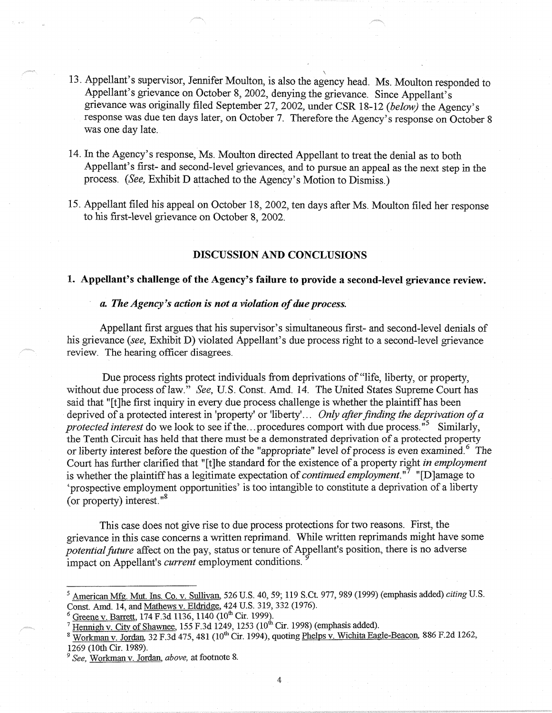- 13. Appellant's supervisor, Jennifer Moulton, is also the agency head. Ms. Moulton responded to Appellant's grievance on October 8, 2002, denying the grievance. Since Appellant's grievance was originally filed September 27, 2002, under CSR 18.-12 *(below)* the Agency's response was due ten days later, on October 7. Therefore the Agency's response on October 8 was one day late.
- 14. In the Agency's response, Ms. Moulton directed Appellant to treat the denial as to both Appellant's first- and second-level grievances, and to pursue an appeal as the next step in the process. *(See,* Exhibit D attached to the Agency's Motion to Dismiss.)
- 15. Appellant filed his appeal on October 18, 2002, ten days after Ms. Moulton filed her response to his first-level grievance on October 8, 2002.

#### **DISCUSSION AND CONCLUSIONS**

### **1. Appellant's challenge of the Agency's failure to provide a second-level grievance review.**

### *a. The Agency's action is not a violation of due process.*

Appellant first argues that his supervisor's simultaneous first- and second-level denials of his grievance *(see,* Exhibit D) violated Appellant's due process right to a second-level grievance review. The hearing officer disagrees.

Due process rights protect individuals from deprivations of "life, liberty, or property, without due process of law." *See*, U.S. Const. Amd. 14. The United States Supreme Court has said that "[t]he first inquiry in every due process challenge is whether the plaintiff has been deprived of a protected interest in 'property' or 'liberty'... *Only after finding the deprivation of a protected interest* do we look to see if the ... procedures comport with due process."<sup>5</sup> Similarly, the Tenth Circuit has held that there must be a demonstrated deprivation of a protected property or liberty interest before the question of the "appropriate" level of process is even examined.<sup>6</sup> The Court has further clarified that "[t]he standard for the existence of a property right *in employment*  is whether the plaintiff has a legitimate expectation of *continued employment.* "7 "[D]amage to 'prospective employment opportunities' is too intangible to constitute a deprivation of a liberty (or property) interest."<sup>8</sup>

This case does not give rise to due process protections for two reasons. First, the grievance in this case concerns a written reprimand. While written reprimands might have some *potential future* affect on the pay, status or tenure of Appellant's position, there is no adverse impact on Appellant's *current* employment conditions.

 $6$  Greene v. Barrett, 174 F.3d 1136, 1140 (10<sup>th</sup> Cir. 1999).

<sup>8</sup> Workman v. Jordan, 32 F.3d 475, 481 (10<sup>th</sup> Cir. 1994), quoting Phelps v. Wichita Eagle-Beacon, 886 F.2d 1262, 1269 (10th Cir. 1989).

American Mfg. Mut. Ins. Co. v. Sullivan. 526 U.S. 40, 59; 119 S.Ct. 977, 989 (1999) (emphasis added) citing U.S. Const. Amd. 14, and Mathews v. Eldridge, 424 U.S. 319, 332 (1976).

 $\frac{1}{2}$  Hennigh v. City of Shawnee, 155 F.3d 1249, 1253 (10<sup>th</sup> Cir. 1998) (emphasis added).

<sup>&</sup>lt;sup>9</sup> See, Workman v. Jordan, *above*, at footnote 8.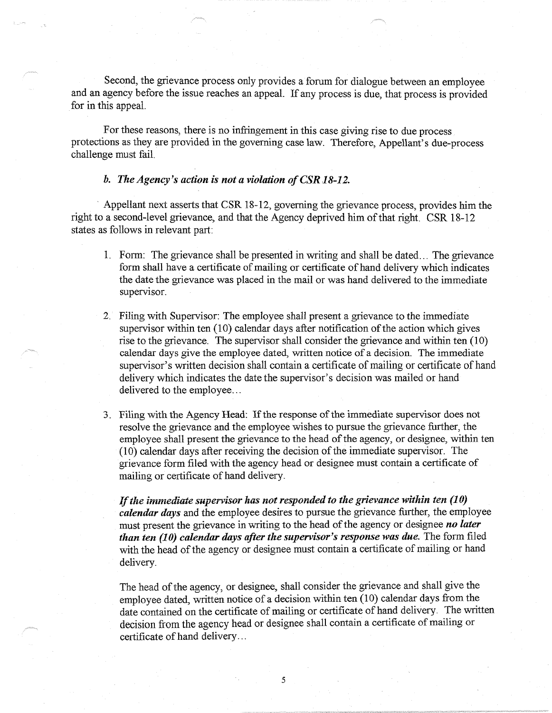Second, the grievance process only provides a forum for dialogue between an employee and an agency before the issue reaches an appeal. If any process is due, that process is provided for in this appeal.

For these reasons, there is no infringement in this case giving rise to due process protections as they are provided in the governing case law. Therefore, Appellant's due-process challenge must fail.

## *b. The Agency's action is not a violation of CSR* **.J** *8-12.*

· Appellant next asserts that CSR 18-12, governing the grievance process, provides him the right to a second-level grievance, and that the Agency deprived him of that right. CSR 18-12 states as follows in relevant part:

- I. Form: The grievance shall be presented in writing and shall be dated ... The grievance form shall have a certificate of mailing or certificate of hand delivery which indicates the date the grievance was placed in the mail or was hand delivered to the immediate supervisor.
- 2. Filing with Supervisor: The employee shall present a grievance to the immediate supervisor within ten (10) calendar days after notification of the action which gives rise to the grievance. The supervisor shall consider the grievance and within ten (10) calendar days give the employee dated, written notice of a decision. The immediate supervisor's written decision shall contain a certificate of mailing or certificate of hand delivery which indicates the date the supervisor's decision was mailed or hand delivered to the employee...
- 3. Filing with the Agency Head: If the response of the immediate supervisor does not resolve the grievance and the employee wishes to pursue the grievance further, the employee shall present the grievance to the head of the agency, or designee, within ten  $(10)$  calendar days after receiving the decision of the immediate supervisor. The grievance form filed with the agency head or designee must contain a certificate of mailing or certificate of hand delivery.

*If the immediate supervisor has not responded to the grievance within ten (10) calendar days* and the employee desires to pursue the grievance further, the employee must present the grievance in writing to the head of the agency or designee *no later than ten (10) calendar days after the supervisor's response was due. The form filed* with the head of the agency or designee must contain a certificate of mailing or hand delivery.

The head of the agency, or designee, shall consider the grievance and shall give the employee dated, written notice of a decision within ten (10) calendar days from the date contained on the certificate of mailing or certificate of hand delivery. The written decision from the agency head or designee shall contain a certificate of mailing or certificate of hand delivery ...

5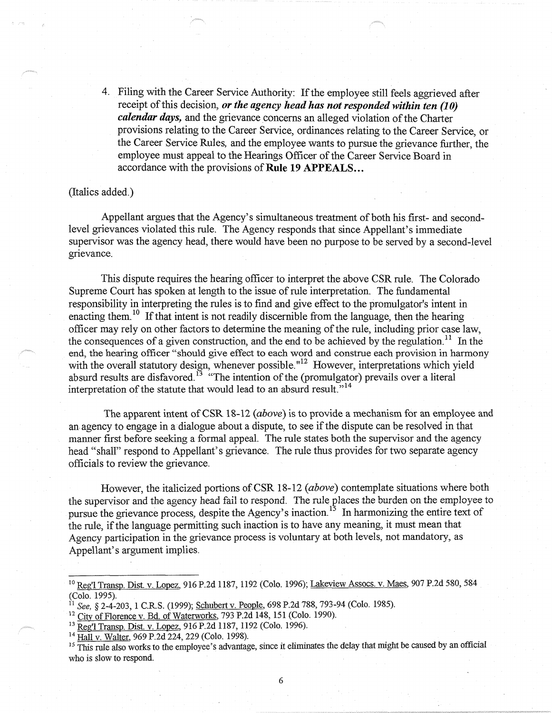4. Filing with the Career Service Authority: If the employee still feels aggrieved after receipt of this decision, *or the agency head has not responded within ten (10) calendar days,* and the grievance concerns an alleged violation of the Charter provisions relating to the Career Service, ordinances relating to the Career Service, or the Career Service Rules, and the employee wants to pursue the grievance further, the employee must appeal to the Hearings Officer of the Career Service Board in accordance with the provisions of **Rule 19 APPEALS ...** 

#### (Italics added.)

Appellant argues that the Agency's simultaneous treatment of both his first- and secondlevel grievances violated this rule. The Agency responds that since Appellant's immediate supervisor was the agency head, there would have been no purpose to be served by a second-level grievance.

This dispute requires the hearing officer to interpret the above CSR rule. The Colorado Supreme Court has spoken at length to the issue of rule interpretation. The fundamental responsibility in interpreting the rules is to find and give effect to the promulgator's intent in enacting them.<sup>10</sup> If that intent is not readily discernible from the language, then the hearing officer may rely on other factors to determine the meaning of the rule, including prior case law, the consequences of a given construction, and the end to be achieved by the regulation.<sup>11</sup> In the end, the hearing officer "should give effect to each word and construe each provision in harmony with the overall statutory design, whenever possible.<sup>"12</sup> However, interpretations which yield absurd results are disfavored.<sup>13</sup> "The intention of the (promulgator) prevails over a literal interpretation of the statute that would lead to an absurd result."<sup>14</sup>

The apparent intent of CSR 18-12 *(above)* is to provide a mechanism for an employee and an agency to engage in a dialogue about a dispute, to see if the dispute can be resolved in that manner first before seeking a formal appeal. The rule states both the supervisor and the agency head "shall" respond to Appellant's grievance. The rule thus provides for two separate agency officials to review the grievance.

However, the italicized portions of CSR 18-12 *(above)* contemplate situations where both the supervisor and the agency head fail to respond. The rule places the burden on the employee to pursue the grievance process, despite the Agency's inaction.<sup>15</sup> In harmonizing the entire text of the rule, if the language permitting such inaction is to have any meaning, it must mean that Agency participation in the grievance process is voluntary at both levels, not mandatory, as Appellant's argument implies.

<sup>&</sup>lt;sup>10</sup> Reg'l Transp. Dist. v. Lopez, 916 P.2d 1187, 1192 (Colo. 1996); Lakeview Assocs. v. Maes, 907 P.2d 580, 584 (Colo. 1995).

<sup>11</sup>*See,* § 2-4-203, 1 C.RS. (1999); Schubertv. People, 698 P.2d 788, 793-94 (Colo. 1985).

<sup>&</sup>lt;sup>12</sup> City of Florence v. Bd. of Waterworks, 793 P.2d 148, 151 (Colo. 1990).

<sup>&</sup>lt;sup>13</sup> Reg'l Transp. Dist. v. Lopez, 916 P.2d 1187, 1192 (Colo. 1996).<br><sup>14</sup> Hall v. Walter, 969 P.2d 224, 229 (Colo. 1998).

<sup>&</sup>lt;sup>15</sup> This rule also works to the employee's advantage, since it eliminates the delay that might be caused by an official who is slow to respond.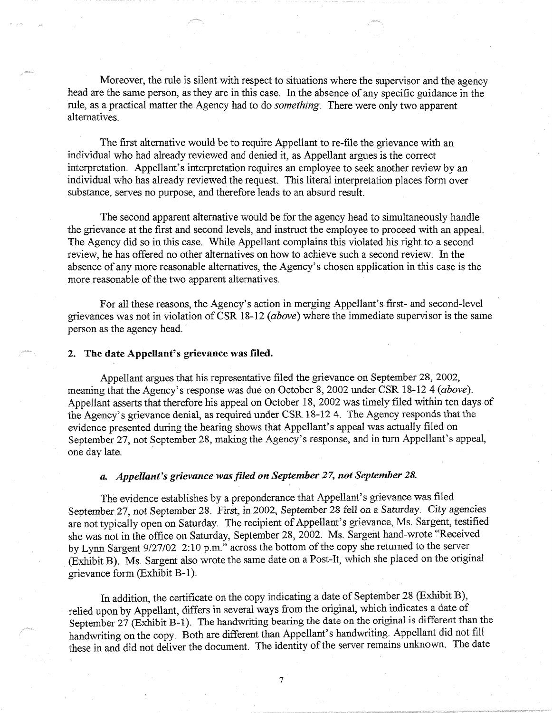Moreover, the rule is silent with respect to situations where the supervisor and the agency head are the same person, as they are in this case. In the absence of any specific guidance in the rule, as a practical matter the Agency had to do *something.* There were only two apparent alternatives.

The first alternative would be to require Appellant to re-file the grievance with an individual who had already reviewed and denied it, as Appellant argues is the correct interpretation. Appellant's interpretation requires an employee to seek another review by an individual who has already reviewed the request. This literal interpretation places form over substance, serves no purpose, and therefore leads to an absurd result.

The second apparent alternative would be for the agency head to simultaneously handle the grievance at the first and second levels, and instruct the employee to proceed with an appeal. The Agency did so in this case. While Appellant complains this violated his right to a second review, he has offered no other alternatives on how to achieve such a second review. In the absence of any more reasonable alternatives, the Agency's chosen application in this case is the more reasonable of the two apparent alternatives.

For all these reasons, the Agency's action in merging Appellant's first- and second-level grievances was not in violation of CSR 18-12 *(above)* where the immediate supervisor is the same person as the agency head.

#### **2. The date Appellant's grievance was filed.**

Appellant argues that his representative filed the grievance on September 28, 2002, meaning that the Agency's response was due on October 8, 2002 under CSR 18-12 4 *(above).*  Appellant asserts that therefore his appeal on October 18, 2002 was timely filed within ten days of the Agency's grievance denial, as required under CSR 18-12 4. The Agency responds that the evidence presented during the hearing shows that Appellant's appeal was actually filed on September 27, not September 28, making the Agency's response, and in turn Appellant's appeal, one day late.

## *a. Appellant's grievance was filed on September* 27, *not September 28.*

The evidence establishes by a preponderance that Appellant's grievance was filed September 27, not September 28. First, in 2002, September 28 fell on a Saturday. City agencies are not typically open on Saturday. The recipient of Appellant's grievance, Ms. Sargent, testified she was not in the office on Saturday, September 28, 2002. Ms. Sargent hand-wrote "Received by Lynn Sargent 9/27/02 2: 10 p.m." across the bottom of the copy she returned to the server (Exhibit B). Ms. Sargent also wrote the same date on a Post-It, which she placed on the original grievance form (Exhibit B-1).

In addition, the certificate on the copy indicating a date of September 28 (Exhibit B), relied upon by Appellant, differs in several ways from the original, which indicates a date of September  $27$  (Exhibit B-1). The handwriting bearing the date on the original is different than the handwriting on the copy. Both are different than Appellant's handwriting. Appellant did not fill these in and did not deliver the document. The identity of the server remains unknown. The date

7